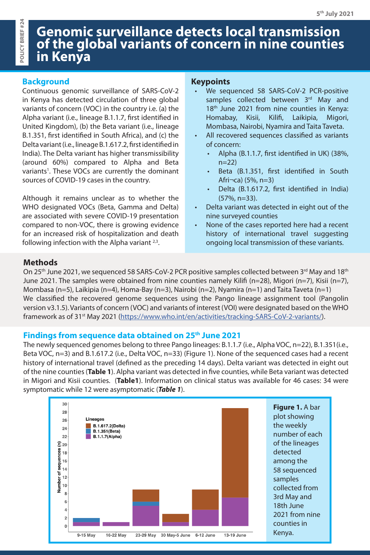# **Genomic surveillance detects local transmission of the global variants of concern in nine counties in Kenya**

### **Background**

Continuous genomic surveillance of SARS-CoV-2 in Kenya has detected circulation of three global variants of concern (VOC) in the country i.e. (a) the Alpha variant (i.e., lineage B.1.1.7, first identified in United Kingdom), (b) the Beta variant (i.e., lineage B.1.351, first identified in South Africa), and (c) the Delta variant (i.e., lineage B.1.617.2, first identified in India). The Delta variant has higher transmissibility (around 60%) compared to Alpha and Beta variants<sup>1</sup>. These VOCs are currently the dominant sources of COVID-19 cases in the country.

Although it remains unclear as to whether the WHO designated VOCs (Beta, Gamma and Delta) are associated with severe COVID-19 presentation compared to non-VOC, there is growing evidence for an increased risk of hospitalization and death following infection with the Alpha variant  $2,3$ .

# **Keypoints**

- We sequenced 58 SARS-CoV-2 PCR-positive samples collected between 3rd May and 18<sup>th</sup> June 2021 from nine counties in Kenya: Homabay, Kisii, Kilifi, Laikipia, Migori, Mombasa, Nairobi, Nyamira and Taita Taveta.
- All recovered sequences classified as variants of concern:
	- Alpha (B.1.1.7, first identified in UK) (38%,  $n=22$
	- Beta (B.1.351, first identified in South Afri¬ca) (5%, n=3)
	- Delta (B.1.617.2, first identified in India) (57%, n=33).
- Delta variant was detected in eight out of the nine surveyed counties
- None of the cases reported here had a recent history of international travel suggesting ongoing local transmission of these variants.

## **Methods**

On 25<sup>th</sup> June 2021, we sequenced 58 SARS-CoV-2 PCR positive samples collected between 3<sup>rd</sup> May and 18<sup>th</sup> June 2021. The samples were obtained from nine counties namely Kilifi (n=28), Migori (n=7), Kisii (n=7), Mombasa (n=5), Laikipia (n=4), Homa-Bay (n=3), Nairobi (n=2), Nyamira (n=1) and Taita Taveta (n=1) We classified the recovered genome sequences using the Pango lineage assignment tool (Pangolin version v3.1.5). Variants of concern (VOC) and variants of interest (VOI) were designated based on the WHO framework as of 31<sup>st</sup> May 2021 ([https://www.who.int/en/activities/tracking-SARS-CoV-2-variants/\)](https://www.who.int/en/activities/tracking-SARS-CoV-2-variants/).

### **Findings from sequence data obtained on 25th June 2021**

The newly sequenced genomes belong to three Pango lineages: B.1.1.7 (i.e., Alpha VOC, n=22), B.1.351(i.e., Beta VOC, n=3) and B.1.617.2 (i.e., Delta VOC, n=33) (Figure 1). None of the sequenced cases had a recent history of international travel (defined as the preceding 14 days). Delta variant was detected in eight out of the nine counties (**Table 1**). Alpha variant was detected in five counties, while Beta variant was detected in Migori and Kisii counties. (**Table1**). Information on clinical status was available for 46 cases: 34 were symptomatic while 12 were asymptomatic (*Table 1*).

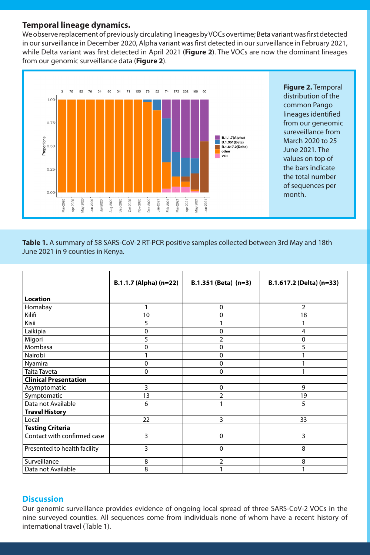#### **Temporal lineage dynamics.**

We observe replacement of previously circulating lineages by VOCs overtime; Beta variant was first detected in our surveillance in December 2020, Alpha variant was first detected in our surveillance in February 2021, while Delta variant was first detected in April 2021 (**Figure 2**). The VOCs are now the dominant lineages from our genomic surveillance data (**Figure 2**).



**Figure 2.** Temporal distribution of the common Pango lineages identified from our geneomic sureveillance from March 2020 to 25 June 2021. The values on top of the bars indicate the total number of sequences per month.

**Table 1.** A summary of 58 SARS-CoV-2 RT-PCR positive samples collected between 3rd May and 18th June 2021 in 9 counties in Kenya.

|                              | B.1.1.7 (Alpha) (n=22) | $B.1.351$ (Beta) $(n=3)$ | B.1.617.2 (Delta) (n=33) |
|------------------------------|------------------------|--------------------------|--------------------------|
| <b>Location</b>              |                        |                          |                          |
| Homabay                      | 1                      | $\mathbf 0$              | 2                        |
| Kilifi                       | 10                     | 0                        | 18                       |
| Kisii                        | 5                      |                          | 1                        |
| Laikipia                     | 0                      | 0                        | 4                        |
| Migori                       | 5                      | $\overline{2}$           | 0                        |
| Mombasa                      | $\mathbf 0$            | $\Omega$                 | 5                        |
| Nairobi                      | 1                      | 0                        |                          |
| Nyamira                      | $\mathbf 0$            | $\mathbf 0$              |                          |
| <b>Taita Taveta</b>          | $\mathbf 0$            | 0                        |                          |
| <b>Clinical Presentation</b> |                        |                          |                          |
| Asymptomatic                 | 3                      | $\mathbf 0$              | 9                        |
| Symptomatic                  | 13                     | $\overline{2}$           | 19                       |
| Data not Available           | 6                      | 1                        | 5                        |
| <b>Travel History</b>        |                        |                          |                          |
| Local                        | 22                     | 3                        | 33                       |
| <b>Testing Criteria</b>      |                        |                          |                          |
| Contact with confirmed case  | 3                      | $\mathbf 0$              | 3                        |
| Presented to health facility | $\overline{3}$         | $\mathbf 0$              | 8                        |
| Surveillance                 | 8                      | $\overline{2}$           | 8                        |
| Data not Available           | 8                      |                          | 1                        |

#### **Discussion**

Our genomic surveillance provides evidence of ongoing local spread of three SARS-CoV-2 VOCs in the nine surveyed counties. All sequences come from individuals none of whom have a recent history of international travel (Table 1).